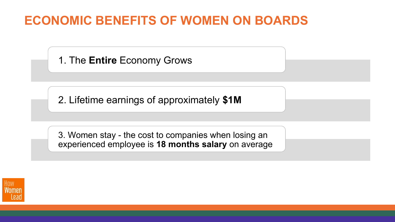# **ECONOMIC BENEFITS OF WOMEN ON BOARDS**

1. The **Entire** Economy Grows

2. Lifetime earnings of approximately **\$1M**

3. Women stay - the cost to companies when losing an experienced employee is **18 months salary** on average

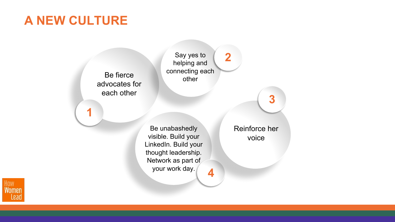# **A NEW CULTURE**

Be fierce advocates for each other **1** Say yes to helping and connecting each other **2** Be unabashedly visible. Build your LinkedIn. Build your thought leadership. Network as part of your work day. **4** Reinforce her voice **3**

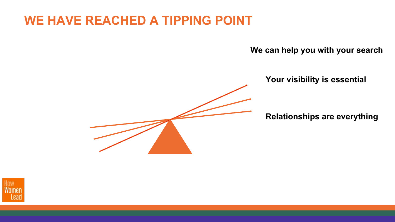### **WE HAVE REACHED A TIPPING POINT**

**We can help you with your search**

**Your visibility is essential**

**Relationships are everything**

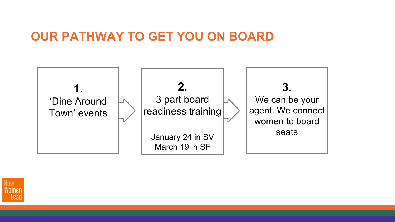### **OUR PATHWAY TO GET YOU ON BOARD**



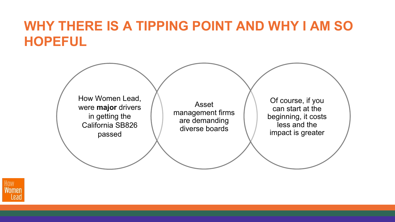# **WHY THERE IS A TIPPING POINT AND WHY I AM SO HOPEFUL**



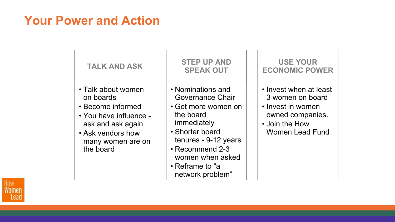### **Your Power and Action**

| <b>TALK AND ASK</b>                                                                                                                                         | <b>STEP UP AND</b><br><b>SPEAK OUT</b>                                                                                                                                                                            | <b>USE YOUR</b><br><b>ECONOMIC POWER</b>                                                                                        |
|-------------------------------------------------------------------------------------------------------------------------------------------------------------|-------------------------------------------------------------------------------------------------------------------------------------------------------------------------------------------------------------------|---------------------------------------------------------------------------------------------------------------------------------|
| • Talk about women<br>on boards<br>• Become informed<br>• You have influence -<br>ask and ask again.<br>• Ask vendors how<br>many women are on<br>the board | • Nominations and<br>Governance Chair<br>• Get more women on<br>the board<br>immediately<br>• Shorter board<br>tenures - 9-12 years<br>• Recommend 2-3<br>women when asked<br>• Reframe to "a<br>network problem" | • Invest when at least<br>3 women on board<br>• Invest in women<br>owned companies.<br>• Join the How<br><b>Women Lead Fund</b> |

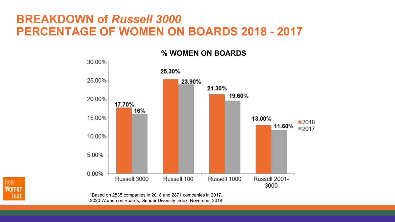### **BREAKDOWN of** *Russell 3000* **PERCENTAGE OF WOMEN ON BOARDS 2018 - 2017**

30.00% 25.30% 25.00% 23.90% 21.30% 19.60% 20.00% 17.70% 16% 15.00% 13.00% ■2018 11.60% ■2017 10.00% 5.00% 0.00% Russell 3000 Russell 100 Russell 1000 Russell 2001-3000

**% WOMEN ON BOARDS**

How Leac

\*Based on 2835 companies in 2018 and 2871 companies in 2017. 2020 Women on Boards, Gender Diversity Index, November 2018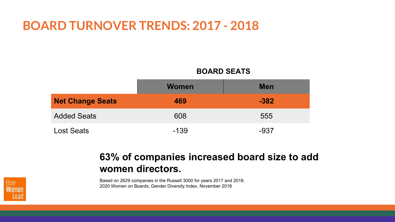### **BOARD TURNOVER TRENDS: 2017 - 2018**

#### **BOARD SEATS**

|                         | <b>Women</b> | <b>Men</b> |
|-------------------------|--------------|------------|
| <b>Net Change Seats</b> | 469          | $-382$     |
| <b>Added Seats</b>      | 608          | 555        |
| <b>Lost Seats</b>       | $-139$       | $-937$     |

### **63% of companies increased board size to add women directors.**

Based on 2629 companies in the Russell 3000 for years 2017 and 2018. 2020 Women on Boards, Gender Diversity Index, November 2018

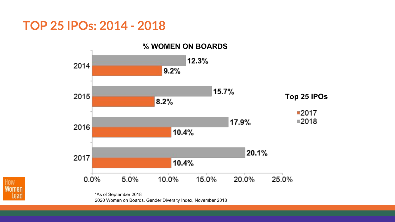### **TOP 25 IPOs: 2014 - 2018**



2020 Women on Boards, Gender Diversity Index, November 2018

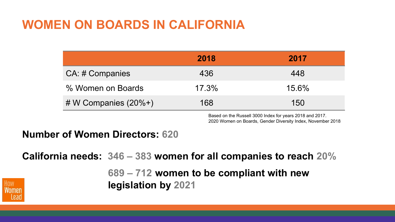### **WOMEN ON BOARDS IN CALIFORNIA**

|                         | 2018     | 2017  |
|-------------------------|----------|-------|
| CA: # Companies         | 436      | 448   |
| % Women on Boards       | $17.3\%$ | 15.6% |
| # W Companies $(20\%+)$ | 168      | 150   |

Based on the Russell 3000 Index for years 2018 and 2017. 2020 Women on Boards, Gender Diversity Index, November 2018

### **Number of Women Directors: 620**

**California needs: 346 – 383 women for all companies to reach 20%**

**689 – 712 women to be compliant with new legislation by 2021**

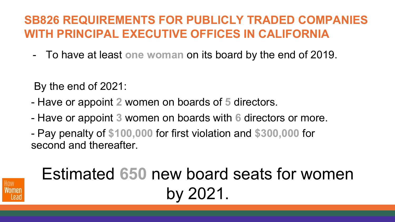### **SB826 REQUIREMENTS FOR PUBLICLY TRADED COMPANIES WITH PRINCIPAL EXECUTIVE OFFICES IN CALIFORNIA**

- To have at least **one woman** on its board by the end of 2019.

By the end of 2021:

- Have or appoint **2** women on boards of **5** directors.
- Have or appoint **3** women on boards with **6** directors or more.
- Pay penalty of **\$100,000** for first violation and **\$300,000** for second and thereafter.



# Estimated **650** new board seats for women by 2021.